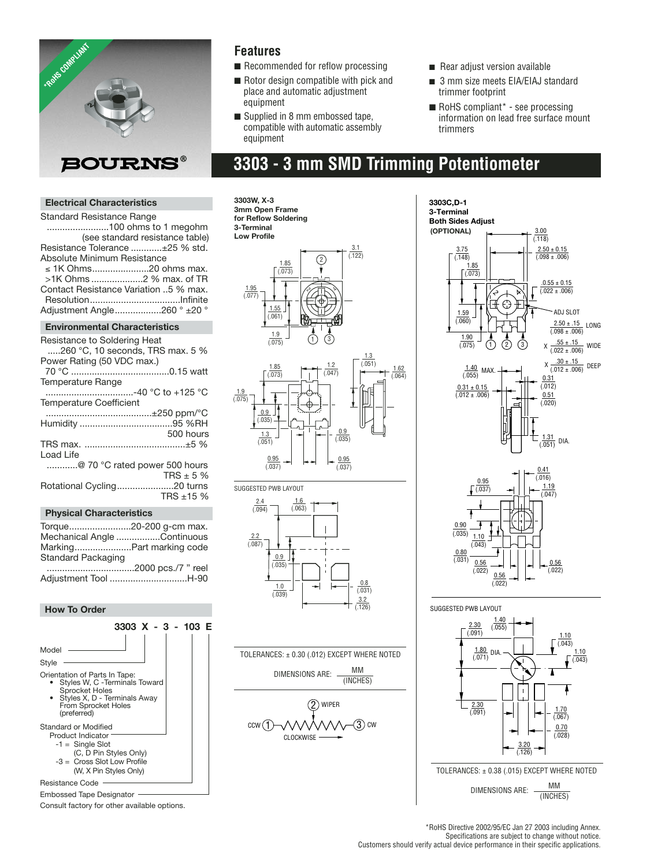

### **Features**

- Recommended for reflow processing
- Rotor design compatible with pick and place and automatic adjustment equipment
- Supplied in 8 mm embossed tape, compatible with automatic assembly equipment
- Rear adjust version available
- 3 mm size meets EIA/EIAJ standard trimmer footprint
- RoHS compliant<sup>\*</sup> see processing information on lead free surface mount trimmers

## **3303 - 3 mm SMD Trimming Potentiometer**

#### **Electrical Characteristics**

Standard Resistance Range ........................100 ohms to 1 megohm (see standard resistance table) Resistance Tolerance ............±25 % std. Absolute Minimum Resistance ≤ 1K Ohms......................20 ohms max. >1K Ohms ....................2 % max. of TR Contact Resistance Variation ..5 % max. Resolution...................................Infinite Adjustment Angle..................260 ° ±20 °

#### **Environmental Characteristics**

| Resistance to Soldering Heat                                                                                                                                                                                                                                                                                                       |
|------------------------------------------------------------------------------------------------------------------------------------------------------------------------------------------------------------------------------------------------------------------------------------------------------------------------------------|
| $\dots$ 260 °C. 10 seconds. TRS max, 5 %<br>Power Rating (50 VDC max.)                                                                                                                                                                                                                                                             |
|                                                                                                                                                                                                                                                                                                                                    |
| Temperature Range                                                                                                                                                                                                                                                                                                                  |
| -40 °C to +125 °C                                                                                                                                                                                                                                                                                                                  |
| <b>Temperature Coefficient</b>                                                                                                                                                                                                                                                                                                     |
|                                                                                                                                                                                                                                                                                                                                    |
|                                                                                                                                                                                                                                                                                                                                    |
| 500 hours                                                                                                                                                                                                                                                                                                                          |
|                                                                                                                                                                                                                                                                                                                                    |
| Load Life                                                                                                                                                                                                                                                                                                                          |
| @ 70 °C rated power 500 hours                                                                                                                                                                                                                                                                                                      |
| TRS $\pm$ 5 %                                                                                                                                                                                                                                                                                                                      |
| Rotational Cycling20 turns                                                                                                                                                                                                                                                                                                         |
| TRS $±15%$                                                                                                                                                                                                                                                                                                                         |
| $\mathbf{E}$ $\mathbf{E}$ $\mathbf{E}$ $\mathbf{E}$ $\mathbf{E}$ $\mathbf{E}$ $\mathbf{E}$ $\mathbf{E}$ $\mathbf{E}$ $\mathbf{E}$ $\mathbf{E}$ $\mathbf{E}$ $\mathbf{E}$ $\mathbf{E}$ $\mathbf{E}$ $\mathbf{E}$ $\mathbf{E}$ $\mathbf{E}$ $\mathbf{E}$ $\mathbf{E}$ $\mathbf{E}$ $\mathbf{E}$ $\mathbf{E}$ $\mathbf{E}$ $\mathbf{$ |

#### **Physical Characteristics**

| Torque20-200 q-cm max.      |                                |
|-----------------------------|--------------------------------|
| Mechanical Angle Continuous |                                |
| MarkingPart marking code    |                                |
| Standard Packaging          |                                |
|                             | $0000 \times 17$ $\frac{1}{2}$ |

..................................2000 pcs./7 " reel Adjustment Tool ..............................H-90

#### **How To Order**



Embossed Tape Designator

Consult factory for other available options.















#### SUGGESTED PWB LAYOUT